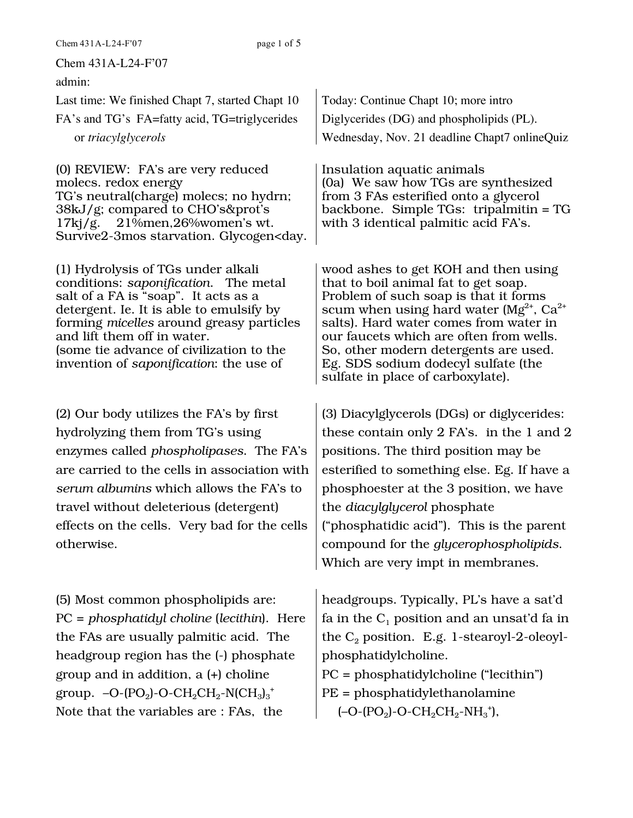Chem 431A-L24-F'07

admin:

Last time: We finished Chapt 7, started Chapt 10 FA's and TG's FA=fatty acid, TG=triglycerides or *triacylglycerols*

(0) REVIEW: FA's are very reduced molecs. redox energy TG's neutral(charge) molecs; no hydrn; 38kJ/g; compared to CHO's&prot's  $17$ kj/g.  $21\overline{9}$ men,26%women's wt. Survive2-3mos starvation. Glycogen<day.

(1) Hydrolysis of TGs under alkali conditions: *saponification*. The metal salt of a FA is "soap". It acts as a detergent. Ie. It is able to emulsify by forming *micelles* around greasy particles and lift them off in water. (some tie advance of civilization to the invention of *saponification*: the use of

(2) Our body utilizes the FA's by first hydrolyzing them from TG's using enzymes called *phospholipases*. The FA's are carried to the cells in association with *serum albumins* which allows the FA's to travel without deleterious (detergent) effects on the cells. Very bad for the cells otherwise.

(5) Most common phospholipids are: PC = *phosphatidyl choline* (*lecithin*). Here the FAs are usually palmitic acid. The headgroup region has the (-) phosphate group and in addition, a (+) choline group. –O-(PO<sub>2</sub>)-O-CH<sub>2</sub>CH<sub>2</sub>-N(CH<sub>3</sub>)<sub>3</sub><sup>+</sup> Note that the variables are : FAs, the

Today: Continue Chapt 10; more intro Diglycerides (DG) and phospholipids (PL). Wednesday, Nov. 21 deadline Chapt7 onlineQuiz

Insulation aquatic animals (0a) We saw how TGs are synthesized from 3 FAs esterified onto a glycerol backbone. Simple TGs: tripalmitin = TG with 3 identical palmitic acid FA's.

wood ashes to get KOH and then using that to boil animal fat to get soap. Problem of such soap is that it forms scum when using hard water ( $Mg^{2+}$ , Ca<sup>2+</sup> salts). Hard water comes from water in our faucets which are often from wells. So, other modern detergents are used. Eg. SDS sodium dodecyl sulfate (the sulfate in place of carboxylate).

(3) Diacylglycerols (DGs) or diglycerides: these contain only 2 FA's. in the 1 and 2 positions. The third position may be esterified to something else. Eg. If have a phosphoester at the 3 position, we have the *diacylglycerol* phosphate ("phosphatidic acid"). This is the parent compound for the *glycerophospholipids*. Which are very impt in membranes.

headgroups. Typically, PL's have a sat'd fa in the  $C_1$  position and an unsat'd fa in the  $C_2$  position. E.g. 1-stearoyl-2-oleoylphosphatidylcholine. PC = phosphatidylcholine ("lecithin") PE = phosphatidylethanolamine

 $(-O$ - $(PO_2)$ - $O$ - $CH_2CH_2-NH_3$ <sup>+</sup>),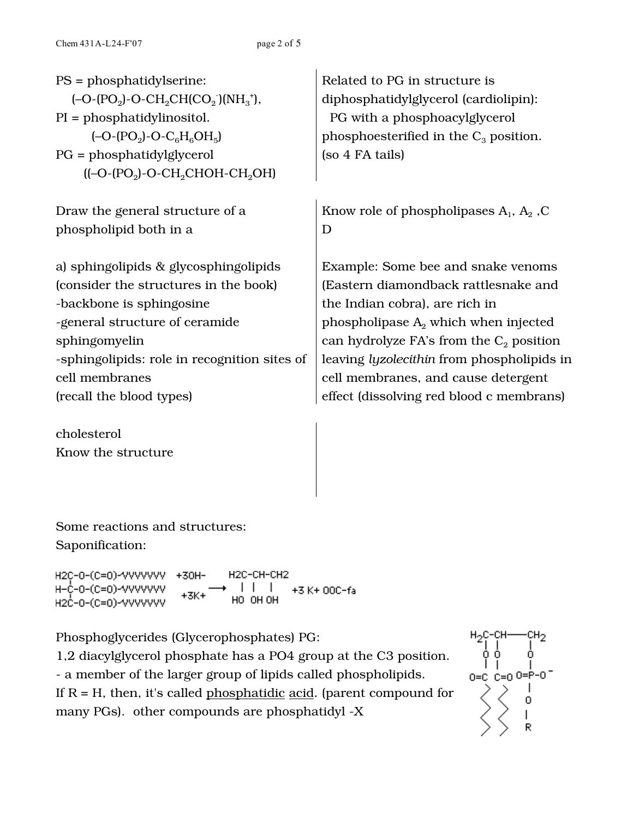| $PS = probabilityscript:$<br>$(-O-(PO_2)-O-CH_2CH(CO_2)(NH_3^+),$<br>$PI = probabilitylinositol.$<br>$(-O-(PO2)-O-C6H6OH5)$<br>$PG = probability[glycero]$<br>$([-O-(PO2)-O-CH2CHOH-CH2OH)$ | Related to PG in structure is<br>diphosphatidylglycerol (cardiolipin):<br>PG with a phosphoacylglycerol<br>phosphoesterified in the $C_3$ position.<br>(so 4 FA tails) |
|---------------------------------------------------------------------------------------------------------------------------------------------------------------------------------------------|------------------------------------------------------------------------------------------------------------------------------------------------------------------------|
| Draw the general structure of a                                                                                                                                                             | Know role of phospholipases $A_1$ , $A_2$ , C                                                                                                                          |
| phospholipid both in a                                                                                                                                                                      | D                                                                                                                                                                      |
| a) sphingolipids & glycosphingolipids                                                                                                                                                       | Example: Some bee and snake venoms                                                                                                                                     |
| (consider the structures in the book)                                                                                                                                                       | (Eastern diamondback rattlesnake and                                                                                                                                   |
| -backbone is sphingosine                                                                                                                                                                    | the Indian cobra), are rich in                                                                                                                                         |
| -general structure of ceramide                                                                                                                                                              | phospholipase $A_2$ which when injected                                                                                                                                |
| sphingomyelin                                                                                                                                                                               | can hydrolyze FA's from the $C_2$ position                                                                                                                             |
| -sphingolipids: role in recognition sites of                                                                                                                                                | leaving <i>lyzolecithin</i> from phospholipids in                                                                                                                      |
| cell membranes                                                                                                                                                                              | cell membranes, and cause detergent                                                                                                                                    |
| (recall the blood types)                                                                                                                                                                    | effect (dissolving red blood c membrans)                                                                                                                               |

cholesterol Know the structure

Some reactions and structures: Saponification:

H2C-CH-CH2 H2C-0-(C=0)-VVVVVVVV +30H- $\Box$ H-¢-0-(c=0)-⁄VVVVVVV +3 K+ 00C-fa  $+3K+$ HO OH OH H2C-0-(C=0)-VVVVVVV

Phosphoglycerides (Glycerophosphates) PG: 1,2 diacylglycerol phosphate has a PO4 group at the C3 position. - a member of the larger group of lipids called phospholipids. If  $R = H$ , then, it's called phosphatidic acid. (parent compound for many PGs). other compounds are phosphatidyl -X

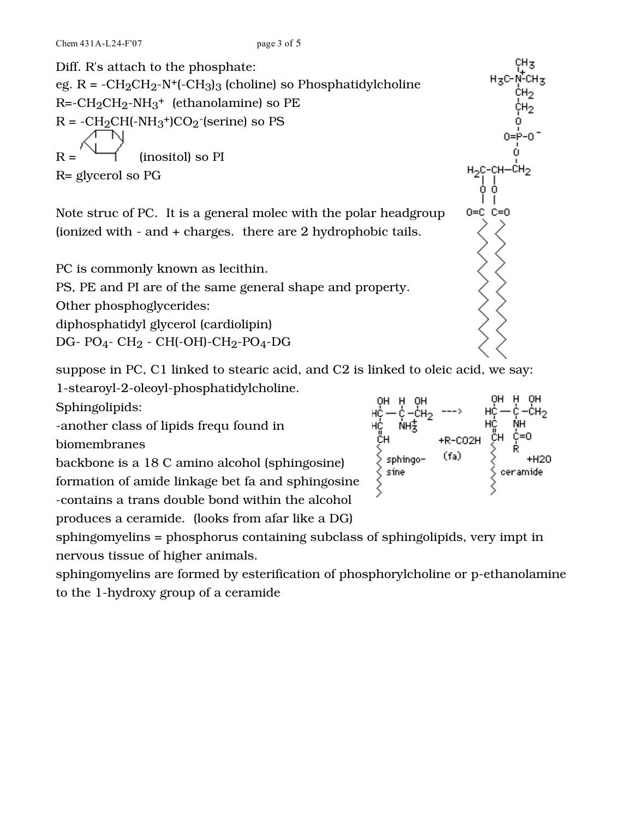Diff. R's attach to the phosphate: eg.  $R = -CH_2CH_2-N+(-CH_3)_3$  (choline) so Phosphatidylcholine  $R = -CH_2CH_2-NH_3$ <sup>+</sup> (ethanolamine) so PE  $R = -CH_2CH(-NH_3+)CO_2$ -(serine) so PS  $R =$  (inositol) so PI R= glycerol so PG

Note struc of PC. It is a general molec with the polar headgroup (ionized with - and + charges. there are 2 hydrophobic tails.

PC is commonly known as lecithin. PS, PE and PI are of the same general shape and property. Other phosphoglycerides: diphosphatidyl glycerol (cardiolipin)

DG- PO4- CH2 - CH(-OH)-CH2-PO4-DG

suppose in PC, C1 linked to stearic acid, and C2 is linked to oleic acid, we say:

1-stearoyl-2-oleoyl-phosphatidylcholine.

Sphingolipids:

-another class of lipids frequ found in

biomembranes

backbone is a 18 C amino alcohol (sphingosine)

formation of amide linkage bet fa and sphingosine -contains a trans double bond within the alcohol

produces a ceramide. (looks from afar like a DG)

sphingomyelins = phosphorus containing subclass of sphingolipids, very impt in nervous tissue of higher animals.

sphingomyelins are formed by esterification of phosphorylcholine or p-ethanolamine to the 1-hydroxy group of a ceramide



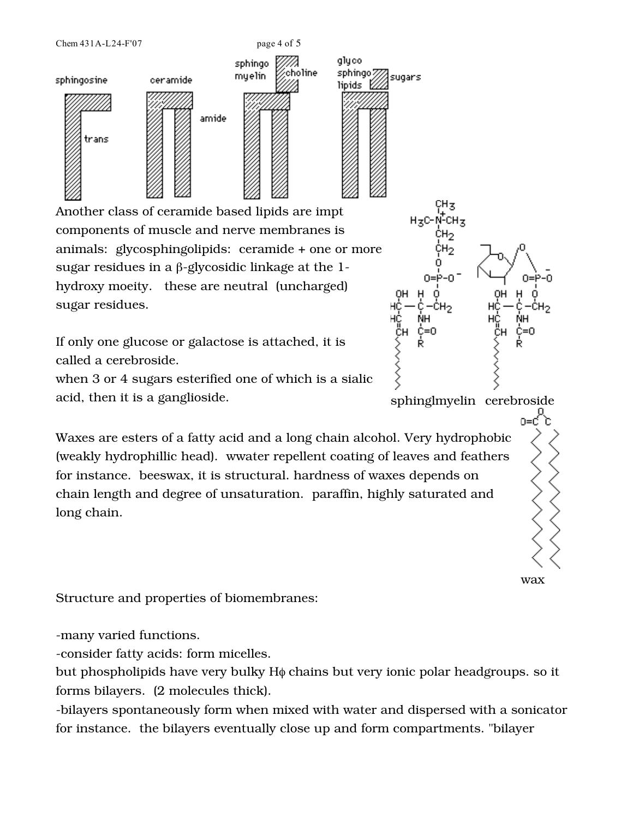Another class of ceramide based lipids are impt components of muscle and nerve membranes is animals: glycosphingolipids: ceramide + one or more sugar residues in a β-glycosidic linkage at the 1 hydroxy moeity. these are neutral (uncharged) sugar residues.

amide

sphingo

myelin

Chem 431A-L24-F'07 page 4 of 5

ceramide

sphingosine

trans

If only one glucose or galactose is attached, it is called a cerebroside.

when 3 or 4 sugars esterified one of which is a sialic acid, then it is a ganglioside. Suppose the sphinglmyelin cerebroside

Waxes are esters of a fatty acid and a long chain alcohol. Very hydrophobic (weakly hydrophillic head). wwater repellent coating of leaves and feathers for instance. beeswax, it is structural. hardness of waxes depends on chain length and degree of unsaturation. paraffin, highly saturated and long chain.

Structure and properties of biomembranes:

-many varied functions.

-consider fatty acids: form micelles.

but phospholipids have very bulky Hφ chains but very ionic polar headgroups. so it forms bilayers. (2 molecules thick).

-bilayers spontaneously form when mixed with water and dispersed with a sonicator for instance. the bilayers eventually close up and form compartments. "bilayer



glyco

lipids E

choline

sphingo*m*<br>Naide <sup>Sk</sup>sugars